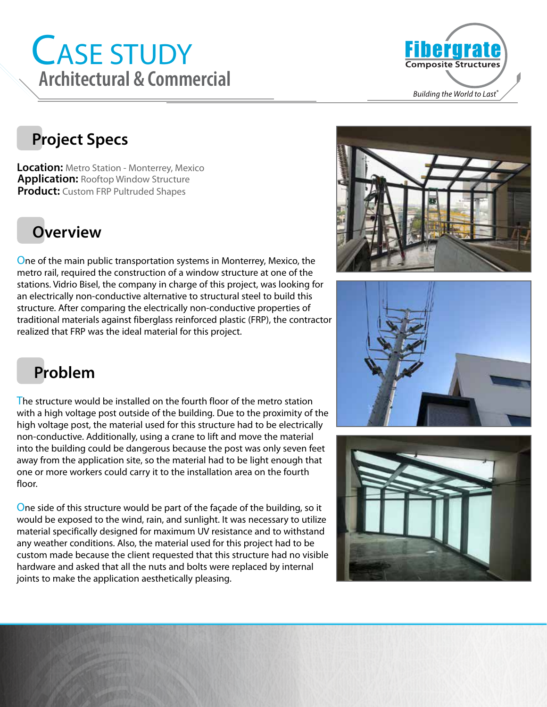# CASE STUDY Architectural & Commercial **Building the World to Last**<sup>2</sup>



#### **Project Specs**

**Location:** Metro Station - Monterrey, Mexico **Application:** Rooftop Window Structure **Product:** Custom FRP Pultruded Shapes

### **Overview**

One of the main public transportation systems in Monterrey, Mexico, the metro rail, required the construction of a window structure at one of the stations. Vidrio Bisel, the company in charge of this project, was looking for an electrically non-conductive alternative to structural steel to build this structure. After comparing the electrically non-conductive properties of traditional materials against fiberglass reinforced plastic (FRP), the contractor realized that FRP was the ideal material for this project.







### **Problem**

The structure would be installed on the fourth floor of the metro station with a high voltage post outside of the building. Due to the proximity of the high voltage post, the material used for this structure had to be electrically non-conductive. Additionally, using a crane to lift and move the material into the building could be dangerous because the post was only seven feet away from the application site, so the material had to be light enough that one or more workers could carry it to the installation area on the fourth floor.

One side of this structure would be part of the façade of the building, so it would be exposed to the wind, rain, and sunlight. It was necessary to utilize material specifically designed for maximum UV resistance and to withstand any weather conditions. Also, the material used for this project had to be custom made because the client requested that this structure had no visible hardware and asked that all the nuts and bolts were replaced by internal joints to make the application aesthetically pleasing.